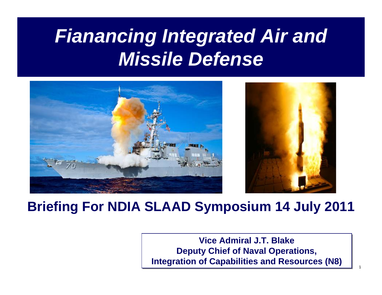# *Fianancing Integrated Air and Missile Defense*



#### **Briefing For NDIA SLAAD Symposium 14 July 2011**

**Vice Admiral J.T. BlakeVice Admiral J.T. BlakeDeputy Chief of Naval Operations, Deputy Chief of Naval Operations, Integration of Capabilities and Resources (N8) Integration of Capabilities and Resources (N8)**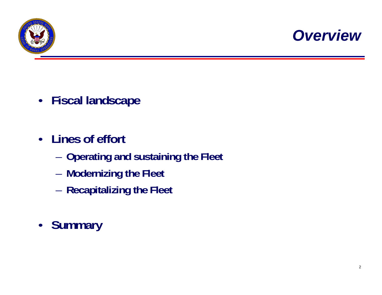



- **Fiscal landscape**
- **Lines of effort**
	- –**Operating and sustaining the Fleet**
	- –**Modernizing the Fleet**
	- –**Recapitalizing the Fleet**
- **Summary**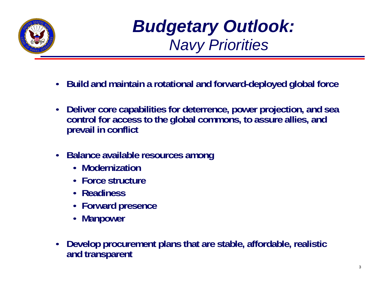

*Budgetary Outlook: Navy Priorities*

- **Build and maintain a rotational and forward-deployed global force**
- • **Deliver core capabilities for deterrence, power projection, and sea control for access to the global commons, to assure allies, and prevail in conflict**
- **Balance available resources among**
	- **Modernization**
	- **Force structure**
	- **Readiness**
	- **Forward presence**
	- **Manpower**
- • **Develop procurement plans that are stable, affordable, realistic and transparent**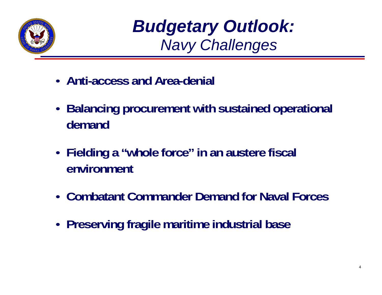

*Budgetary Outlook: Navy Challenges*

- **Anti-access and Area-denial**
- **Balancing procurement with sustained operational demand**
- **Fielding a "whole force" in an austere fiscal environment**
- **Combatant Commander Demand for Naval Forces**
- **Preserving fragile maritime industrial base**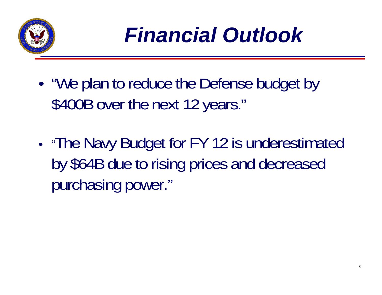

# *Financial Outlook*

- • "We plan to reduce the Defense budget by \$400B over the next 12 years."
- • "The Navy Budget for FY 12 is underestimated by \$64B due to rising prices and decreased purchasing power."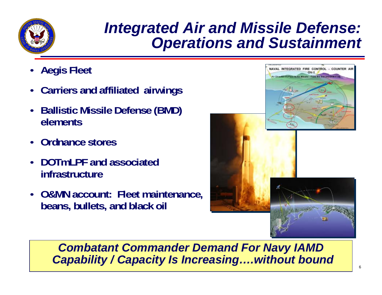

#### *Integrated Air and Missile Defense: Operations and Sustainment*

- •**Aegis Fleet**
- •**Carriers and affiliated airwings**
- • **Ballistic Missile Defense (BMD) elements**
- •**Ordnance stores**
- • **DOTmLPF and associated infrastructure**
- **O&MN account: Fleet maintenance, beans, bullets, and black oil**



*Combatant Commander Demand For Navy IAMD Capability / Capacity Is Increasing….without bound*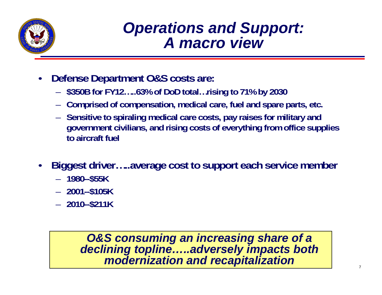

#### *Operations and Support: A macro view*

- $\bullet$  **Defense Department O&S costs are:**
	- –**\$350B for FY12…..63% of DoD total…rising to 71% by 2030**
	- –**Comprised of compensation, medical care, fuel and spare parts, etc.**
	- – **Sensitive to spiraling medical care costs, pay raises for military and government civilians, and rising costs of everything from office supplies to aircraft fuel**
- • **Biggest driver…..average cost to support each service member**
	- **1980--\$55K**
	- **2001--\$105K**
	- **2010--\$211K**

*O&S consuming an increasing share of a declining topline…..adversely impacts both modernization and recapitalization*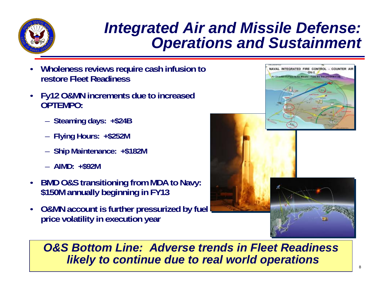

#### *Integrated Air and Missile Defense: Operations and Sustainment*

- • **Wholeness reviews require cash infusion to restore Fleet Readiness**
- • **Fy12 O&MN increments due to increased OPTEMPO:**
	- –**Steaming days: +\$24B**
	- –**Flying Hours: +\$252M**
	- **Ship Maintenance: +\$182M**
	- **AIMD: +\$92M**
- • **BMD O&S transitioning from MDA to Navy: \$150M annually beginning in FY13**
- • **O&MN account is further pressurized by fuel price volatility in execution year**



*O&S Bottom Line: Adverse trends in Fleet Readiness likely to continue due to real world operations*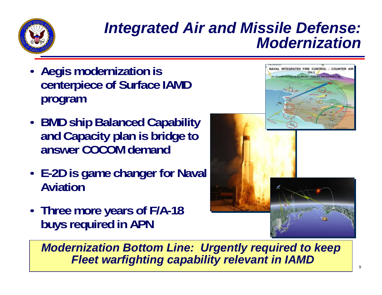

#### *Integrated Air and Missile Defense: Modernization*

- **Aegis modernization is centerpiece of Surface IAMD program**
- **BMD ship Balanced Capability and Capacity plan is bridge to answer COCOM demand**
- **E-2D is game changer for Naval Aviation**
- **Three more years of F/A-18 buys required in APN**



*Modernization Bottom Line: Urgently required to keep Fleet warfighting capability relevant in IAMD*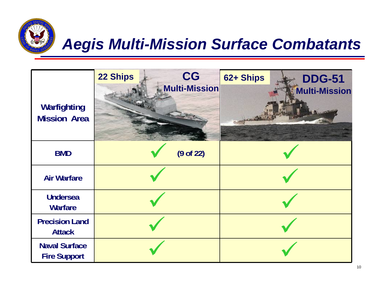

#### *Aegis Multi-Mission Surface Combatants*

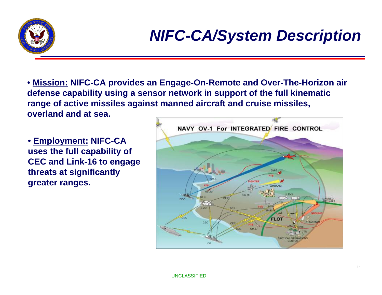

## *NIFC-CA/System Description*

• **Mission: NIFC-CA provides an Engage-On-Remote and Over-The-Horizon air defense capability using a sensor network in support of the full kinematic range of active missiles against manned aircraft and cruise missiles, overland and at sea.**

• **Employment: NIFC-CA uses the full capability of CEC and Link-16 to engage threats at significantly greater ranges.**

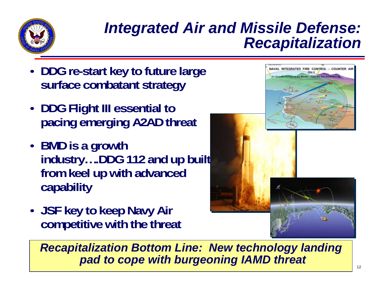

#### *Integrated Air and Missile Defense: Recapitalization*

- **DDG re-start key to future large surface combatant strategy**
- **DDG Flight III essential to pacing emerging A2AD threat**
- **BMD is a growth industry….DDG 112 and up built from keel up with advanced capability**
- **JSF key to keep Navy Air competitive with the threat**



*Recapitalization Bottom Line: New technology landing pad to cope with burgeoning IAMD threat*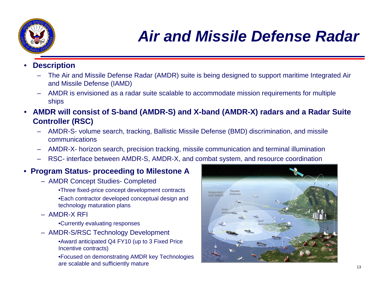

## *Air and Missile Defense Radar*

- • **Description**
	- The Air and Missile Defense Radar (AMDR) suite is being designed to support maritime Integrated Air and Missile Defense (IAMD)
	- – AMDR is envisioned as a radar suite scalable to accommodate mission requirements for multiple ships
- • **AMDR will consist of S-band (AMDR-S) and X-band (AMDR-X) radars and a Radar Suite Controller (RSC)**
	- – AMDR-S- volume search, tracking, Ballistic Missile Defense (BMD) discrimination, and missile communications
	- AMDR-X- horizon search, precision tracking, missile communication and terminal illumination
	- RSC- interface between AMDR-S, AMDR-X, and combat system, and resource coordination

#### • **Program Status- proceeding to Milestone A**

- AMDR Concept Studies- Completed
	- •Three fixed-price concept development contracts •Each contractor developed conceptual design and technology maturation plans
- AMDR-X RFI
	- •Currently evaluating responses
- AMDR-S/RSC Technology Development
	- •Award anticipated Q4 FY10 (up to 3 Fixed Price Incentive contracts)
	- •Focused on demonstrating AMDR key Technologies are scalable and sufficiently mature

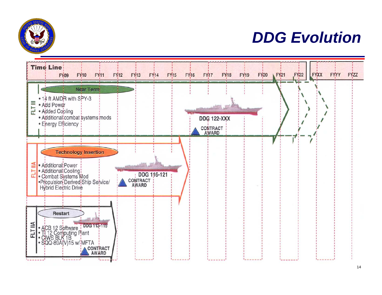

### *DDG Evolution*